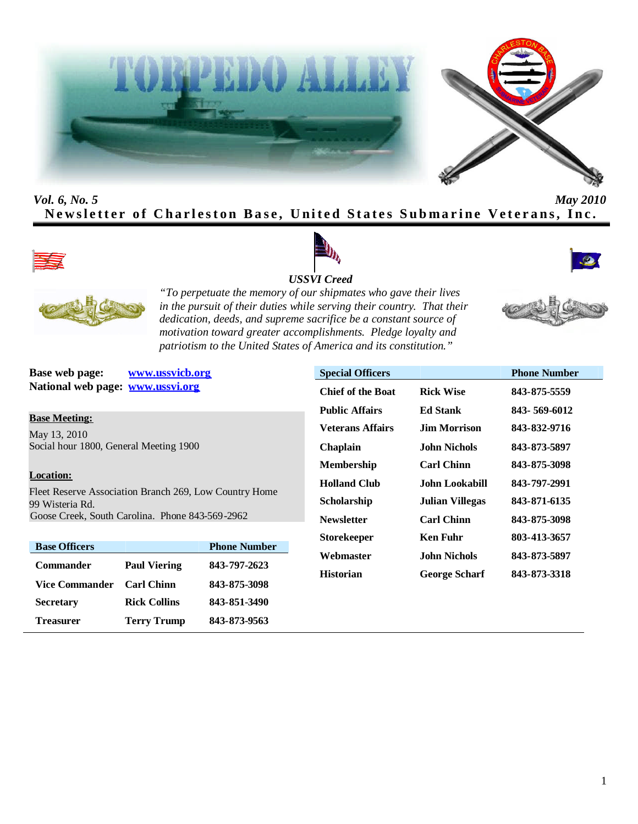



# *Vol. 6, No. 5 May 2010* Newsletter of Charleston Base, United States Submarine Veterans, Inc.









*"To perpetuate the memory of our shipmates who gave their lives in the pursuit of their duties while serving their country. That their dedication, deeds, and supreme sacrifice be a constant source of motivation toward greater accomplishments. Pledge loyalty and patriotism to the United States of America and its constitution."*

**Base web page: www.ussvicb.org National web page: www.ussvi.org**

**Base Meeting:** May 13, 2010 Social hour 1800, General Meeting 1900

## **Location:**

Fleet Reserve Association Branch 269, Low Country Home 99 Wisteria Rd. Goose Creek, South Carolina. Phone 843-569-2962

| <b>Base Officers</b> |                     | <b>Phone Number</b> |
|----------------------|---------------------|---------------------|
| <b>Commander</b>     | <b>Paul Viering</b> | 843-797-2623        |
| Vice Commander       | <b>Carl Chinn</b>   | 843-875-3098        |
| <b>Secretary</b>     | <b>Rick Collins</b> | 843-851-3490        |
| <b>Treasurer</b>     | <b>Terry Trump</b>  | 843-873-9563        |

| <b>Special Officers</b>  |                        | <b>Phone Number</b> |
|--------------------------|------------------------|---------------------|
| <b>Chief of the Boat</b> | <b>Rick Wise</b>       | 843-875-5559        |
| <b>Public Affairs</b>    | <b>Ed Stank</b>        | 843-569-6012        |
| <b>Veterans Affairs</b>  | Jim Morrison           | 843-832-9716        |
| Chaplain                 | John Nichols           | 843-873-5897        |
| <b>Membership</b>        | <b>Carl Chinn</b>      | 843-875-3098        |
| <b>Holland Club</b>      | John Lookabill         | 843-797-2991        |
| Scholarship              | <b>Julian Villegas</b> | 843-871-6135        |
| <b>Newsletter</b>        | <b>Carl Chinn</b>      | 843-875-3098        |
| <b>Storekeeper</b>       | Ken Fuhr               | 803-413-3657        |
| Webmaster                | <b>John Nichols</b>    | 843-873-5897        |
| <b>Historian</b>         | <b>George Scharf</b>   | 843-873-3318        |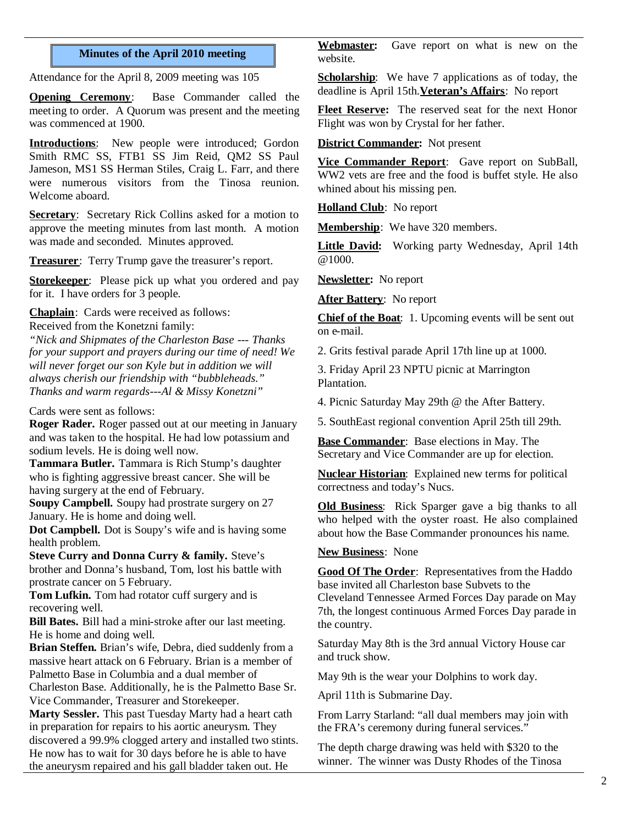#### **Minutes of the April 2010 meeting**

Attendance for the April 8, 2009 meeting was 105

**Opening Ceremony**: Base Commander called the meeting to order. A Quorum was present and the meeting was commenced at 1900.

**Introductions**: New people were introduced; Gordon Smith RMC SS, FTB1 SS Jim Reid, QM2 SS Paul Jameson, MS1 SS Herman Stiles, Craig L. Farr, and there were numerous visitors from the Tinosa reunion. Welcome aboard.

**Secretary**: Secretary Rick Collins asked for a motion to approve the meeting minutes from last month. A motion was made and seconded. Minutes approved.

**Treasurer**: Terry Trump gave the treasurer's report.

**Storekeeper**: Please pick up what you ordered and pay for it. I have orders for 3 people.

**Chaplain**: Cards were received as follows:

Received from the Konetzni family:

*"Nick and Shipmates of the Charleston Base --- Thanks for your support and prayers during our time of need! We will never forget our son Kyle but in addition we will always cherish our friendship with "bubbleheads." Thanks and warm regards---Al & Missy Konetzni"*

Cards were sent as follows:

**Roger Rader.** Roger passed out at our meeting in January and was taken to the hospital. He had low potassium and sodium levels. He is doing well now.

**Tammara Butler.** Tammara is Rich Stump's daughter who is fighting aggressive breast cancer. She will be having surgery at the end of February.

**Soupy Campbell.** Soupy had prostrate surgery on 27 January. He is home and doing well.

**Dot Campbell.** Dot is Soupy's wife and is having some health problem.

**Steve Curry and Donna Curry & family.** Steve's brother and Donna's husband, Tom, lost his battle with prostrate cancer on 5 February.

**Tom Lufkin.** Tom had rotator cuff surgery and is recovering well.

**Bill Bates.** Bill had a mini-stroke after our last meeting. He is home and doing well.

**Brian Steffen.** Brian's wife, Debra, died suddenly from a massive heart attack on 6 February. Brian is a member of Palmetto Base in Columbia and a dual member of

Charleston Base. Additionally, he is the Palmetto Base Sr. Vice Commander, Treasurer and Storekeeper.

**Marty Sessler.** This past Tuesday Marty had a heart cath in preparation for repairs to his aortic aneurysm. They discovered a 99.9% clogged artery and installed two stints. He now has to wait for 30 days before he is able to have the aneurysm repaired and his gall bladder taken out. He

**Webmaster:** Gave report on what is new on the website.

**Scholarship**: We have 7 applications as of today, the deadline is April 15th.**Veteran's Affairs**: No report

**Fleet Reserve:** The reserved seat for the next Honor Flight was won by Crystal for her father.

**District Commander:** Not present

**Vice Commander Report**: Gave report on SubBall, WW2 vets are free and the food is buffet style. He also whined about his missing pen.

**Holland Club**: No report

**Membership**: We have 320 members.

**Little David:** Working party Wednesday, April 14th @1000.

**Newsletter:** No report

**After Battery**: No report

**Chief of the Boat**: 1. Upcoming events will be sent out on e-mail.

2. Grits festival parade April 17th line up at 1000.

3. Friday April 23 NPTU picnic at Marrington Plantation.

4. Picnic Saturday May 29th @ the After Battery.

5. SouthEast regional convention April 25th till 29th.

**Base Commander**: Base elections in May. The Secretary and Vice Commander are up for election.

**Nuclear Historian**: Explained new terms for political correctness and today's Nucs.

**Old Business**: Rick Sparger gave a big thanks to all who helped with the oyster roast. He also complained about how the Base Commander pronounces his name.

**New Business**: None

**Good Of The Order**: Representatives from the Haddo base invited all Charleston base Subvets to the Cleveland Tennessee Armed Forces Day parade on May 7th, the longest continuous Armed Forces Day parade in the country.

Saturday May 8th is the 3rd annual Victory House car and truck show.

May 9th is the wear your Dolphins to work day.

April 11th is Submarine Day.

From Larry Starland: "all dual members may join with the FRA's ceremony during funeral services."

The depth charge drawing was held with \$320 to the winner. The winner was Dusty Rhodes of the Tinosa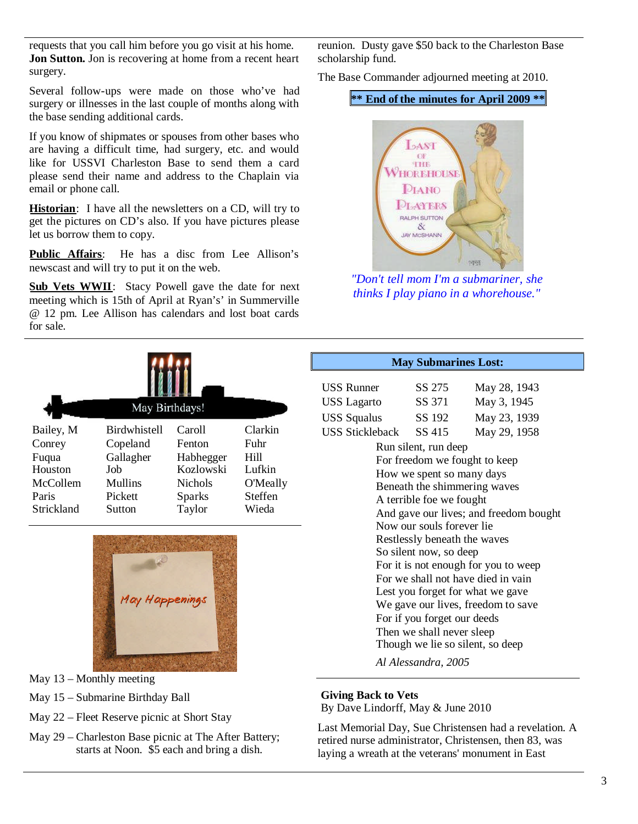requests that you call him before you go visit at his home. **Jon Sutton.** Jon is recovering at home from a recent heart surgery.

Several follow-ups were made on those who've had surgery or illnesses in the last couple of months along with the base sending additional cards.

If you know of shipmates or spouses from other bases who are having a difficult time, had surgery, etc. and would like for USSVI Charleston Base to send them a card please send their name and address to the Chaplain via email or phone call.

**Historian**: I have all the newsletters on a CD, will try to get the pictures on CD's also. If you have pictures please let us borrow them to copy.

**Public Affairs**: He has a disc from Lee Allison's newscast and will try to put it on the web.

**Sub Vets WWII**: Stacy Powell gave the date for next meeting which is 15th of April at Ryan's' in Summerville @ 12 pm. Lee Allison has calendars and lost boat cards for sale.





May 13 – Monthly meeting

- May 15 Submarine Birthday Ball
- May 22 Fleet Reserve picnic at Short Stay
- May 29 Charleston Base picnic at The After Battery; starts at Noon. \$5 each and bring a dish.

reunion. Dusty gave \$50 back to the Charleston Base scholarship fund.

The Base Commander adjourned meeting at 2010.

## **\*\* End ofthe minutes for April 2009 \*\***



*"Don't tell mom I'm a submariner, she thinks I play piano in a whorehouse."*

| <b>May Submarines Lost:</b>        |                                        |                                      |  |  |
|------------------------------------|----------------------------------------|--------------------------------------|--|--|
|                                    |                                        |                                      |  |  |
| <b>USS Runner</b>                  | SS 275                                 | May 28, 1943                         |  |  |
| <b>USS</b> Lagarto                 | SS 371                                 | May 3, 1945                          |  |  |
| <b>USS</b> Squalus                 | SS 192                                 | May 23, 1939                         |  |  |
| USS Stickleback SS 415             |                                        | May 29, 1958                         |  |  |
| Run silent, run deep               |                                        |                                      |  |  |
|                                    | For freedom we fought to keep          |                                      |  |  |
|                                    | How we spent so many days              |                                      |  |  |
|                                    | Beneath the shimmering waves           |                                      |  |  |
|                                    | A terrible foe we fought               |                                      |  |  |
|                                    | And gave our lives; and freedom bought |                                      |  |  |
| Now our souls forever lie          |                                        |                                      |  |  |
|                                    | Restlessly beneath the waves           |                                      |  |  |
|                                    | So silent now, so deep                 |                                      |  |  |
|                                    |                                        | For it is not enough for you to weep |  |  |
|                                    |                                        | For we shall not have died in vain   |  |  |
| Lest you forget for what we gave   |                                        |                                      |  |  |
| We gave our lives, freedom to save |                                        |                                      |  |  |
| For if you forget our deeds        |                                        |                                      |  |  |
| Then we shall never sleep          |                                        |                                      |  |  |
|                                    |                                        | Though we lie so silent, so deep     |  |  |
| Al Alessandra, 2005                |                                        |                                      |  |  |

#### **Giving Back to Vets**

By Dave Lindorff, May & June 2010

Last Memorial Day, Sue Christensen had a revelation. A retired nurse administrator, Christensen, then 83, was laying a wreath at the veterans' monument in East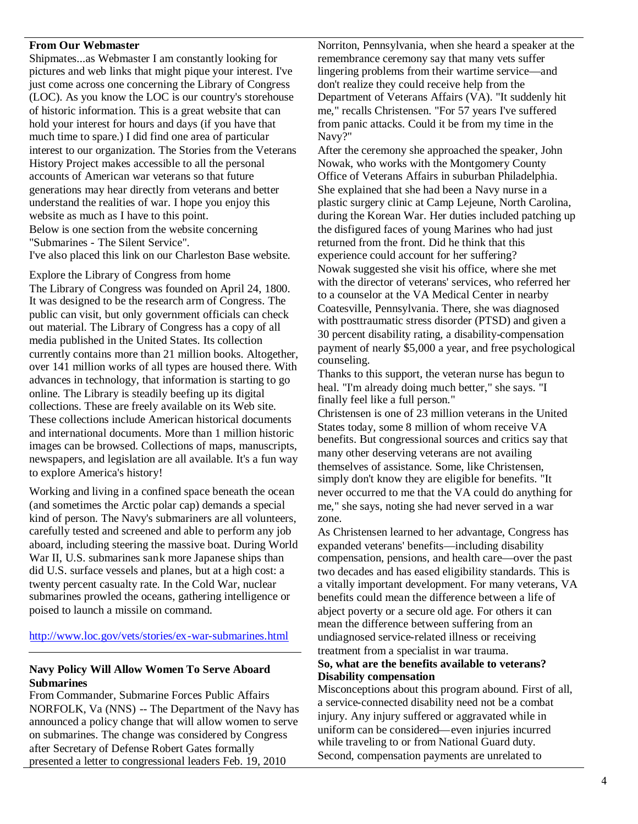#### **From Our Webmaster**

Shipmates...as Webmaster I am constantly looking for pictures and web links that might pique your interest. I've just come across one concerning the Library of Congress (LOC). As you know the LOC is our country's storehouse of historic information. This is a great website that can hold your interest for hours and days (if you have that much time to spare.) I did find one area of particular interest to our organization. The Stories from the Veterans History Project makes accessible to all the personal accounts of American war veterans so that future generations may hear directly from veterans and better understand the realities of war. I hope you enjoy this website as much as I have to this point. Below is one section from the website concerning "Submarines - The Silent Service".

I've also placed this link on our Charleston Base website.

Explore the Library of Congress from home The Library of Congress was founded on April 24, 1800. It was designed to be the research arm of Congress. The public can visit, but only government officials can check out material. The Library of Congress has a copy of all media published in the United States. Its collection currently contains more than 21 million books. Altogether, over 141 million works of all types are housed there. With advances in technology, that information is starting to go online. The Library is steadily beefing up its digital collections. These are freely available on its Web site. These collections include American historical documents and international documents. More than 1 million historic images can be browsed. Collections of maps, manuscripts, newspapers, and legislation are all available. It's a fun way to explore America's history!

Working and living in a confined space beneath the ocean (and sometimes the Arctic polar cap) demands a special kind of person. The Navy's submariners are all volunteers, carefully tested and screened and able to perform any job aboard, including steering the massive boat. During World War II, U.S. submarines sank more Japanese ships than did U.S. surface vessels and planes, but at a high cost: a twenty percent casualty rate. In the Cold War, nuclear submarines prowled the oceans, gathering intelligence or poised to launch a missile on command.

http://www.loc.gov/vets/stories/ex-war-submarines.html

## **Navy Policy Will Allow Women To Serve Aboard Submarines**

From Commander, Submarine Forces Public Affairs NORFOLK, Va (NNS) -- The Department of the Navy has announced a policy change that will allow women to serve on submarines. The change was considered by Congress after Secretary of Defense Robert Gates formally presented a letter to congressional leaders Feb. 19, 2010

Norriton, Pennsylvania, when she heard a speaker at the remembrance ceremony say that many vets suffer lingering problems from their wartime service—and don't realize they could receive help from the Department of Veterans Affairs (VA). "It suddenly hit me," recalls Christensen. "For 57 years I've suffered from panic attacks. Could it be from my time in the Navy?"

After the ceremony she approached the speaker, John Nowak, who works with the Montgomery County Office of Veterans Affairs in suburban Philadelphia. She explained that she had been a Navy nurse in a plastic surgery clinic at Camp Lejeune, North Carolina, during the Korean War. Her duties included patching up the disfigured faces of young Marines who had just returned from the front. Did he think that this experience could account for her suffering? Nowak suggested she visit his office, where she met with the director of veterans' services, who referred her to a counselor at the VA Medical Center in nearby Coatesville, Pennsylvania. There, she was diagnosed with posttraumatic stress disorder (PTSD) and given a 30 percent disability rating, a disability-compensation payment of nearly \$5,000 a year, and free psychological counseling.

Thanks to this support, the veteran nurse has begun to heal. "I'm already doing much better," she says. "I finally feel like a full person."

Christensen is one of 23 million veterans in the United States today, some 8 million of whom receive VA benefits. But congressional sources and critics say that many other deserving veterans are not availing themselves of assistance. Some, like Christensen, simply don't know they are eligible for benefits. "It never occurred to me that the VA could do anything for me," she says, noting she had never served in a war zone.

As Christensen learned to her advantage, Congress has expanded veterans' benefits—including disability compensation, pensions, and health care—over the past two decades and has eased eligibility standards. This is a vitally important development. For many veterans, VA benefits could mean the difference between a life of abject poverty or a secure old age. For others it can mean the difference between suffering from an undiagnosed service-related illness or receiving treatment from a specialist in war trauma.

# **So, what are the benefits available to veterans? Disability compensation**

Misconceptions about this program abound. First of all, a service-connected disability need not be a combat injury. Any injury suffered or aggravated while in uniform can be considered—even injuries incurred while traveling to or from National Guard duty. Second, compensation payments are unrelated to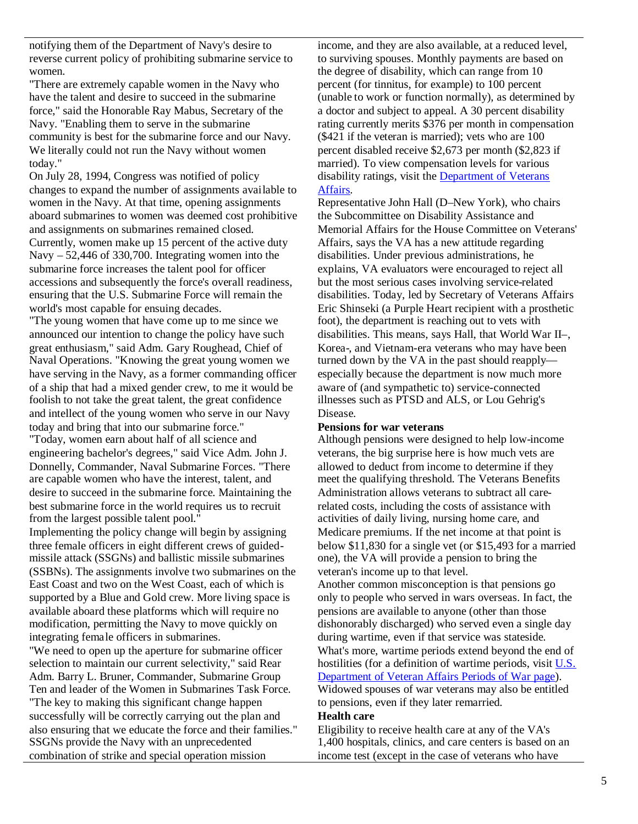notifying them of the Department of Navy's desire to reverse current policy of prohibiting submarine service to women.

"There are extremely capable women in the Navy who have the talent and desire to succeed in the submarine force," said the Honorable Ray Mabus, Secretary of the Navy. "Enabling them to serve in the submarine community is best for the submarine force and our Navy. We literally could not run the Navy without women today."

On July 28, 1994, Congress was notified of policy changes to expand the number of assignments available to women in the Navy. At that time, opening assignments aboard submarines to women was deemed cost prohibitive and assignments on submarines remained closed. Currently, women make up 15 percent of the active duty Navy  $-52,446$  of 330,700. Integrating women into the submarine force increases the talent pool for officer accessions and subsequently the force's overall readiness, ensuring that the U.S. Submarine Force will remain the world's most capable for ensuing decades.

"The young women that have come up to me since we announced our intention to change the policy have such great enthusiasm," said Adm. Gary Roughead, Chief of Naval Operations. "Knowing the great young women we have serving in the Navy, as a former commanding officer of a ship that had a mixed gender crew, to me it would be foolish to not take the great talent, the great confidence and intellect of the young women who serve in our Navy today and bring that into our submarine force." "Today, women earn about half of all science and engineering bachelor's degrees," said Vice Adm. John J. Donnelly, Commander, Naval Submarine Forces. "There are capable women who have the interest, talent, and desire to succeed in the submarine force. Maintaining the best submarine force in the world requires us to recruit from the largest possible talent pool."

Implementing the policy change will begin by assigning three female officers in eight different crews of guidedmissile attack (SSGNs) and ballistic missile submarines (SSBNs). The assignments involve two submarines on the East Coast and two on the West Coast, each of which is supported by a Blue and Gold crew. More living space is available aboard these platforms which will require no modification, permitting the Navy to move quickly on integrating female officers in submarines.

"We need to open up the aperture for submarine officer selection to maintain our current selectivity," said Rear Adm. Barry L. Bruner, Commander, Submarine Group Ten and leader of the Women in Submarines Task Force. "The key to making this significant change happen successfully will be correctly carrying out the plan and also ensuring that we educate the force and their families." SSGNs provide the Navy with an unprecedented combination of strike and special operation mission

income, and they are also available, at a reduced level, to surviving spouses. Monthly payments are based on the degree of disability, which can range from 10 percent (for tinnitus, for example) to 100 percent (unable to work or function normally), as determined by a doctor and subject to appeal. A 30 percent disability rating currently merits \$376 per month in compensation (\$421 if the veteran is married); vets who are 100 percent disabled receive \$2,673 per month (\$2,823 if married). To view compensation levels for various disability ratings, visit the **Department of Veterans** Affairs.

Representative John Hall (D–New York), who chairs the Subcommittee on Disability Assistance and Memorial Affairs for the House Committee on Veterans' Affairs, says the VA has a new attitude regarding disabilities. Under previous administrations, he explains, VA evaluators were encouraged to reject all but the most serious cases involving service-related disabilities. Today, led by Secretary of Veterans Affairs Eric Shinseki (a Purple Heart recipient with a prosthetic foot), the department is reaching out to vets with disabilities. This means, says Hall, that World War II–, Korea-, and Vietnam-era veterans who may have been turned down by the VA in the past should reapply especially because the department is now much more aware of (and sympathetic to) service-connected illnesses such as PTSD and ALS, or Lou Gehrig's Disease.

#### **Pensions for war veterans**

Although pensions were designed to help low-income veterans, the big surprise here is how much vets are allowed to deduct from income to determine if they meet the qualifying threshold. The Veterans Benefits Administration allows veterans to subtract all carerelated costs, including the costs of assistance with activities of daily living, nursing home care, and Medicare premiums. If the net income at that point is below \$11,830 for a single vet (or \$15,493 for a married one), the VA will provide a pension to bring the veteran's income up to that level.

Another common misconception is that pensions go only to people who served in wars overseas. In fact, the pensions are available to anyone (other than those dishonorably discharged) who served even a single day during wartime, even if that service was stateside. What's more, wartime periods extend beyond the end of hostilities (for a definition of wartime periods, visit  $U.S.$ </u> Department of Veteran Affairs Periods of War page). Widowed spouses of war veterans may also be entitled to pensions, even if they later remarried.

# **Health care**

Eligibility to receive health care at any of the VA's 1,400 hospitals, clinics, and care centers is based on an income test (except in the case of veterans who have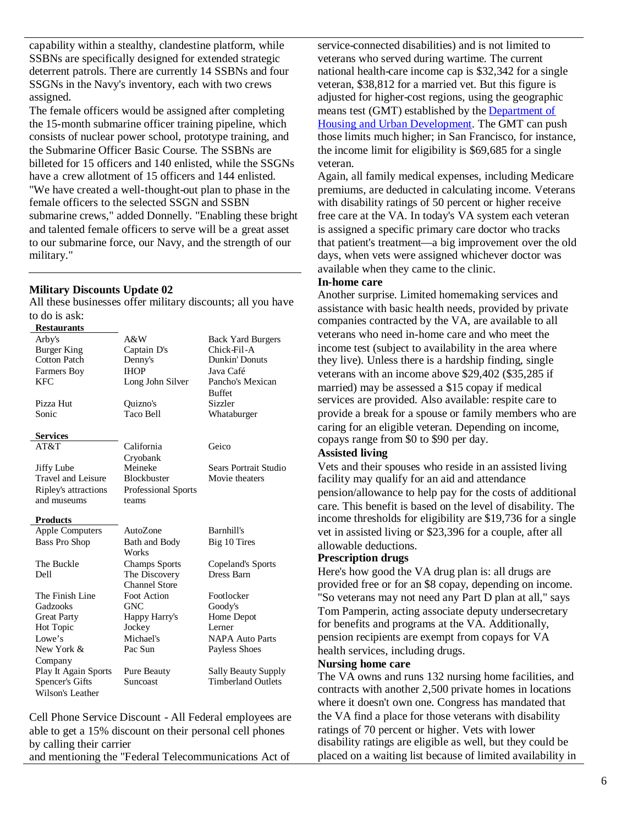capability within a stealthy, clandestine platform, while SSBNs are specifically designed for extended strategic deterrent patrols. There are currently 14 SSBNs and four SSGNs in the Navy's inventory, each with two crews assigned.

The female officers would be assigned after completing the 15-month submarine officer training pipeline, which consists of nuclear power school, prototype training, and the Submarine Officer Basic Course. The SSBNs are billeted for 15 officers and 140 enlisted, while the SSGNs have a crew allotment of 15 officers and 144 enlisted. "We have created a well-thought-out plan to phase in the female officers to the selected SSGN and SSBN submarine crews," added Donnelly. "Enabling these bright and talented female officers to serve will be a great asset to our submarine force, our Navy, and the strength of our military."

#### **Military Discounts Update 02**

All these businesses offer military discounts; all you have to do is ask:

| <b>Restaurants</b>     |                      |                           |
|------------------------|----------------------|---------------------------|
| Arby's                 | A&W                  | <b>Back Yard Burgers</b>  |
| <b>Burger King</b>     | Captain D's          | Chick-Fil-A               |
| <b>Cotton Patch</b>    | Denny's              | Dunkin' Donuts            |
| <b>Farmers Boy</b>     | <b>IHOP</b>          | Java Café                 |
| <b>KFC</b>             | Long John Silver     | Pancho's Mexican          |
|                        |                      | <b>Buffet</b>             |
| Pizza Hut              | Quizno's             | Sizzler                   |
| Sonic                  | Taco Bell            | Whataburger               |
|                        |                      |                           |
| <b>Services</b>        |                      |                           |
| AT&T                   | California           | Geico                     |
|                        | Cryobank             |                           |
| Jiffy Lube             | Meineke              | Sears Portrait Studio     |
| Travel and Leisure     | <b>Blockbuster</b>   | Movie theaters            |
| Ripley's attractions   | Professional Sports  |                           |
| and museums            | teams                |                           |
|                        |                      |                           |
|                        |                      |                           |
| <b>Products</b>        |                      |                           |
| <b>Apple Computers</b> | AutoZone             | Barnhill's                |
| <b>Bass Pro Shop</b>   | Bath and Body        | Big 10 Tires              |
|                        | Works                |                           |
| The Buckle             | <b>Champs Sports</b> | Copeland's Sports         |
| Dell                   | The Discovery        | Dress Barn                |
|                        | <b>Channel Store</b> |                           |
| The Finish Line        | Foot Action          | Footlocker                |
| Gadzooks               | <b>GNC</b>           | Goody's                   |
| <b>Great Party</b>     | Happy Harry's        | Home Depot                |
| Hot Topic              | Jockey               | Lerner                    |
| Lowe's                 | Michael's            | <b>NAPA Auto Parts</b>    |
| New York &             | Pac Sun              | Payless Shoes             |
| Company                |                      |                           |
| Play It Again Sports   | Pure Beauty          | Sally Beauty Supply       |
| <b>Spencer's Gifts</b> | Suncoast             | <b>Timberland Outlets</b> |
| Wilson's Leather       |                      |                           |

Cell Phone Service Discount - All Federal employees are able to get a 15% discount on their personal cell phones by calling their carrier and mentioning the "Federal Telecommunications Act of service-connected disabilities) and is not limited to veterans who served during wartime. The current national health-care income cap is \$32,342 for a single veteran, \$38,812 for a married vet. But this figure is adjusted for higher-cost regions, using the geographic means test (GMT) established by the Department of Housing and Urban Development. The GMT can push those limits much higher; in San Francisco, for instance, the income limit for eligibility is \$69,685 for a single veteran.

Again, all family medical expenses, including Medicare premiums, are deducted in calculating income. Veterans with disability ratings of 50 percent or higher receive free care at the VA. In today's VA system each veteran is assigned a specific primary care doctor who tracks that patient's treatment—a big improvement over the old days, when vets were assigned whichever doctor was available when they came to the clinic.

#### **In-home care**

Another surprise. Limited homemaking services and assistance with basic health needs, provided by private companies contracted by the VA, are available to all veterans who need in-home care and who meet the income test (subject to availability in the area where they live). Unless there is a hardship finding, single veterans with an income above \$29,402 (\$35,285 if married) may be assessed a \$15 copay if medical services are provided. Also available: respite care to provide a break for a spouse or family members who are caring for an eligible veteran. Depending on income, copays range from \$0 to \$90 per day.

## **Assisted living**

Vets and their spouses who reside in an assisted living facility may qualify for an aid and attendance pension/allowance to help pay for the costs of additional care. This benefit is based on the level of disability. The income thresholds for eligibility are \$19,736 for a single vet in assisted living or \$23,396 for a couple, after all allowable deductions.

#### **Prescription drugs**

Here's how good the VA drug plan is: all drugs are provided free or for an \$8 copay, depending on income. "So veterans may not need any Part D plan at all," says Tom Pamperin, acting associate deputy undersecretary for benefits and programs at the VA. Additionally, pension recipients are exempt from copays for VA health services, including drugs.

## **Nursing home care**

The VA owns and runs 132 nursing home facilities, and contracts with another 2,500 private homes in locations where it doesn't own one. Congress has mandated that the VA find a place for those veterans with disability ratings of 70 percent or higher. Vets with lower disability ratings are eligible as well, but they could be placed on a waiting list because of limited availability in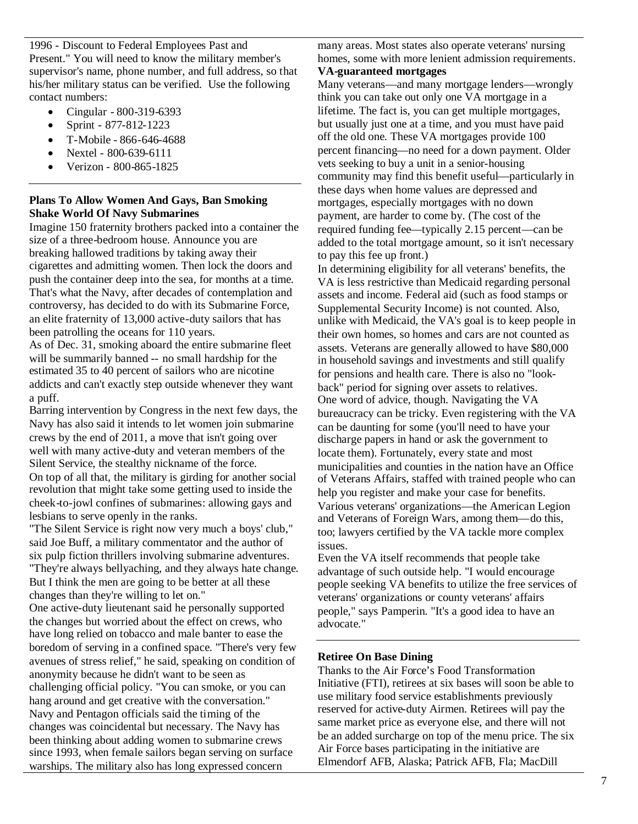1996 - Discount to Federal Employees Past and Present." You will need to know the military member's supervisor's name, phone number, and full address, so that his/her military status can be verified. Use the following contact numbers:

- Cingular 800-319-6393
- $\bullet$  Sprint 877-812-1223
- T-Mobile 866-646-4688
- Nextel  $800 639 6111$
- Verizon 800-865-1825

# **Plans To Allow Women And Gays, Ban Smoking Shake World Of Navy Submarines**

Imagine 150 fraternity brothers packed into a container the size of a three-bedroom house. Announce you are breaking hallowed traditions by taking away their cigarettes and admitting women. Then lock the doors and push the container deep into the sea, for months at a time. That's what the Navy, after decades of contemplation and controversy, has decided to do with its Submarine Force, an elite fraternity of 13,000 active-duty sailors that has been patrolling the oceans for 110 years.

As of Dec. 31, smoking aboard the entire submarine fleet will be summarily banned -- no small hardship for the estimated 35 to 40 percent of sailors who are nicotine addicts and can't exactly step outside whenever they want a puff.

Barring intervention by Congress in the next few days, the Navy has also said it intends to let women join submarine crews by the end of 2011, a move that isn't going over well with many active-duty and veteran members of the Silent Service, the stealthy nickname of the force. On top of all that, the military is girding for another social revolution that might take some getting used to inside the cheek-to-jowl confines of submarines: allowing gays and lesbians to serve openly in the ranks.

"The Silent Service is right now very much a boys' club," said Joe Buff, a military commentator and the author of six pulp fiction thrillers involving submarine adventures. "They're always bellyaching, and they always hate change. But I think the men are going to be better at all these changes than they're willing to let on." One active-duty lieutenant said he personally supported the changes but worried about the effect on crews, who have long relied on tobacco and male banter to ease the boredom of serving in a confined space. "There's very few avenues of stress relief," he said, speaking on condition of anonymity because he didn't want to be seen as challenging official policy. "You can smoke, or you can hang around and get creative with the conversation." Navy and Pentagon officials said the timing of the changes was coincidental but necessary. The Navy has been thinking about adding women to submarine crews since 1993, when female sailors began serving on surface warships. The military also has long expressed concern

many areas. Most states also operate veterans' nursing homes, some with more lenient admission requirements. **VA-guaranteed mortgages**

## Many veterans—and many mortgage lenders—wrongly think you can take out only one VA mortgage in a lifetime. The fact is, you can get multiple mortgages, but usually just one at a time, and you must have paid off the old one. These VA mortgages provide 100 percent financing—no need for a down payment. Older vets seeking to buy a unit in a senior-housing community may find this benefit useful—particularly in these days when home values are depressed and mortgages, especially mortgages with no down payment, are harder to come by. (The cost of the

required funding fee—typically 2.15 percent—can be added to the total mortgage amount, so it isn't necessary to pay this fee up front.)

In determining eligibility for all veterans' benefits, the VA is less restrictive than Medicaid regarding personal assets and income. Federal aid (such as food stamps or Supplemental Security Income) is not counted. Also, unlike with Medicaid, the VA's goal is to keep people in their own homes, so homes and cars are not counted as assets. Veterans are generally allowed to have \$80,000 in household savings and investments and still qualify for pensions and health care. There is also no "lookback" period for signing over assets to relatives. One word of advice, though. Navigating the VA bureaucracy can be tricky. Even registering with the VA can be daunting for some (you'll need to have your discharge papers in hand or ask the government to locate them). Fortunately, every state and most municipalities and counties in the nation have an Office of Veterans Affairs, staffed with trained people who can help you register and make your case for benefits. Various veterans' organizations—the American Legion and Veterans of Foreign Wars, among them—do this, too; lawyers certified by the VA tackle more complex issues.

Even the VA itself recommends that people take advantage of such outside help. "I would encourage people seeking VA benefits to utilize the free services of veterans' organizations or county veterans' affairs people," says Pamperin. "It's a good idea to have an advocate."

#### **Retiree On Base Dining**

Thanks to the Air Force's Food Transformation Initiative (FTI), retirees at six bases will soon be able to use military food service establishments previously reserved for active-duty Airmen. Retirees will pay the same market price as everyone else, and there will not be an added surcharge on top of the menu price. The six Air Force bases participating in the initiative are Elmendorf AFB, Alaska; Patrick AFB, Fla; MacDill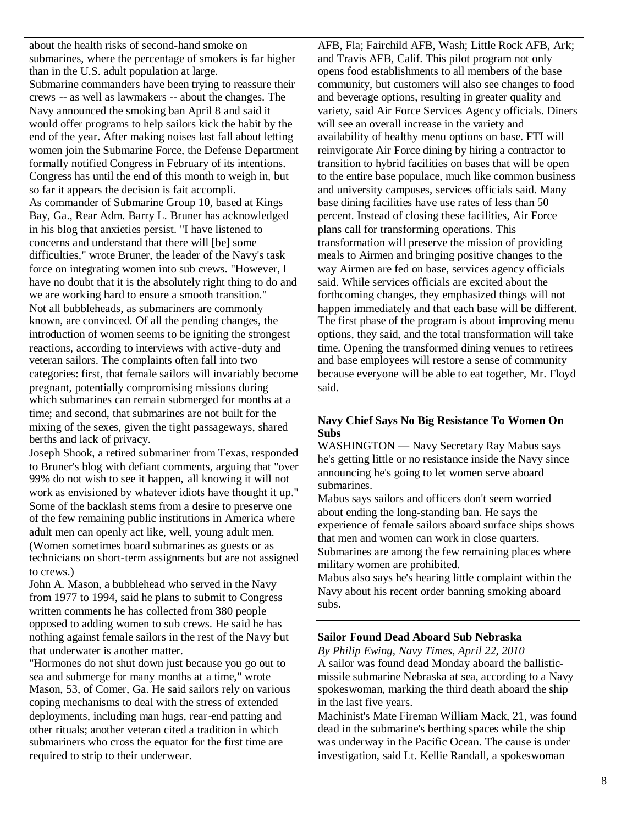about the health risks of second-hand smoke on submarines, where the percentage of smokers is far higher than in the U.S. adult population at large. Submarine commanders have been trying to reassure their crews -- as well as lawmakers -- about the changes. The Navy announced the smoking ban April 8 and said it would offer programs to help sailors kick the habit by the end of the year. After making noises last fall about letting women join the Submarine Force, the Defense Department formally notified Congress in February of its intentions. Congress has until the end of this month to weigh in, but so far it appears the decision is fait accompli. As commander of Submarine Group 10, based at Kings Bay, Ga., Rear Adm. Barry L. Bruner has acknowledged in his blog that anxieties persist. "I have listened to concerns and understand that there will [be] some difficulties," wrote Bruner, the leader of the Navy's task force on integrating women into sub crews. "However, I have no doubt that it is the absolutely right thing to do and we are working hard to ensure a smooth transition." Not all bubbleheads, as submariners are commonly known, are convinced. Of all the pending changes, the introduction of women seems to be igniting the strongest reactions, according to interviews with active-duty and veteran sailors. The complaints often fall into two categories: first, that female sailors will invariably become pregnant, potentially compromising missions during which submarines can remain submerged for months at a time; and second, that submarines are not built for the mixing of the sexes, given the tight passageways, shared berths and lack of privacy.

Joseph Shook, a retired submariner from Texas, responded to Bruner's blog with defiant comments, arguing that "over 99% do not wish to see it happen, all knowing it will not work as envisioned by whatever idiots have thought it up." Some of the backlash stems from a desire to preserve one of the few remaining public institutions in America where adult men can openly act like, well, young adult men. (Women sometimes board submarines as guests or as technicians on short-term assignments but are not assigned to crews.)

John A. Mason, a bubblehead who served in the Navy from 1977 to 1994, said he plans to submit to Congress written comments he has collected from 380 people opposed to adding women to sub crews. He said he has nothing against female sailors in the rest of the Navy but that underwater is another matter.

"Hormones do not shut down just because you go out to sea and submerge for many months at a time," wrote Mason, 53, of Comer, Ga. He said sailors rely on various coping mechanisms to deal with the stress of extended deployments, including man hugs, rear-end patting and other rituals; another veteran cited a tradition in which submariners who cross the equator for the first time are required to strip to their underwear.

AFB, Fla; Fairchild AFB, Wash; Little Rock AFB, Ark; and Travis AFB, Calif. This pilot program not only opens food establishments to all members of the base community, but customers will also see changes to food and beverage options, resulting in greater quality and variety, said Air Force Services Agency officials. Diners will see an overall increase in the variety and availability of healthy menu options on base. FTI will reinvigorate Air Force dining by hiring a contractor to transition to hybrid facilities on bases that will be open to the entire base populace, much like common business and university campuses, services officials said. Many base dining facilities have use rates of less than 50 percent. Instead of closing these facilities, Air Force plans call for transforming operations. This transformation will preserve the mission of providing meals to Airmen and bringing positive changes to the way Airmen are fed on base, services agency officials said. While services officials are excited about the forthcoming changes, they emphasized things will not happen immediately and that each base will be different. The first phase of the program is about improving menu options, they said, and the total transformation will take time. Opening the transformed dining venues to retirees and base employees will restore a sense of community because everyone will be able to eat together, Mr. Floyd said.

### **Navy Chief Says No Big Resistance To Women On Subs**

WASHINGTON — Navy Secretary Ray Mabus says he's getting little or no resistance inside the Navy since announcing he's going to let women serve aboard submarines.

Mabus says sailors and officers don't seem worried about ending the long-standing ban. He says the experience of female sailors aboard surface ships shows that men and women can work in close quarters. Submarines are among the few remaining places where military women are prohibited.

Mabus also says he's hearing little complaint within the Navy about his recent order banning smoking aboard subs.

#### **Sailor Found Dead Aboard Sub Nebraska**

*By Philip Ewing, Navy Times, April 22, 2010* A sailor was found dead Monday aboard the ballisticmissile submarine Nebraska at sea, according to a Navy spokeswoman, marking the third death aboard the ship in the last five years.

Machinist's Mate Fireman William Mack, 21, was found dead in the submarine's berthing spaces while the ship was underway in the Pacific Ocean. The cause is under investigation, said Lt. Kellie Randall, a spokeswoman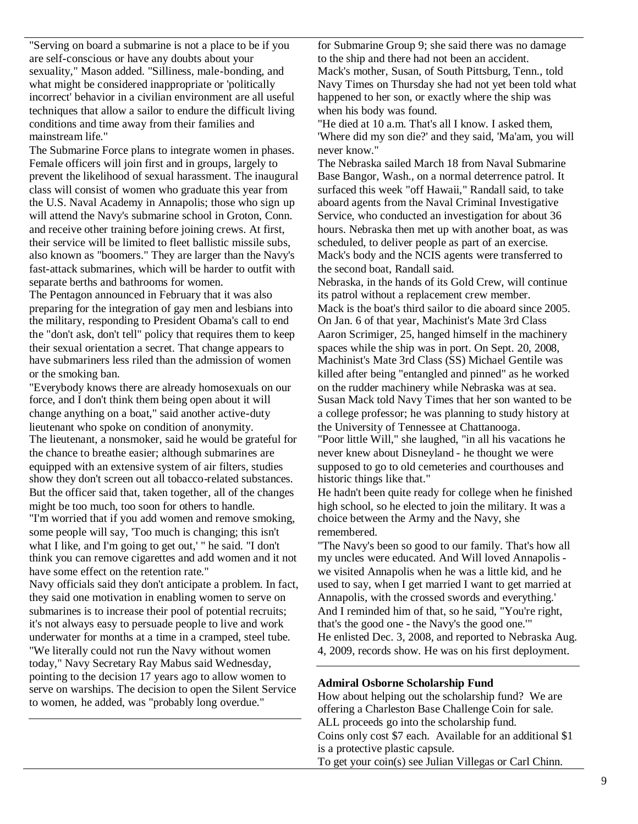"Serving on board a submarine is not a place to be if you are self-conscious or have any doubts about your sexuality," Mason added. "Silliness, male-bonding, and what might be considered inappropriate or 'politically incorrect' behavior in a civilian environment are all useful techniques that allow a sailor to endure the difficult living conditions and time away from their families and mainstream life."

The Submarine Force plans to integrate women in phases. Female officers will join first and in groups, largely to prevent the likelihood of sexual harassment. The inaugural class will consist of women who graduate this year from the U.S. Naval Academy in Annapolis; those who sign up will attend the Navy's submarine school in Groton, Conn. and receive other training before joining crews. At first, their service will be limited to fleet ballistic missile subs, also known as "boomers." They are larger than the Navy's fast-attack submarines, which will be harder to outfit with separate berths and bathrooms for women.

The Pentagon announced in February that it was also preparing for the integration of gay men and lesbians into the military, responding to President Obama's call to end the "don't ask, don't tell" policy that requires them to keep their sexual orientation a secret. That change appears to have submariners less riled than the admission of women or the smoking ban.

"Everybody knows there are already homosexuals on our force, and I don't think them being open about it will change anything on a boat," said another active-duty lieutenant who spoke on condition of anonymity. The lieutenant, a nonsmoker, said he would be grateful for the chance to breathe easier; although submarines are equipped with an extensive system of air filters, studies show they don't screen out all tobacco-related substances. But the officer said that, taken together, all of the changes might be too much, too soon for others to handle. "I'm worried that if you add women and remove smoking, some people will say, 'Too much is changing; this isn't

what I like, and I'm going to get out,' " he said. "I don't think you can remove cigarettes and add women and it not have some effect on the retention rate."

Navy officials said they don't anticipate a problem. In fact, they said one motivation in enabling women to serve on submarines is to increase their pool of potential recruits; it's not always easy to persuade people to live and work underwater for months at a time in a cramped, steel tube. "We literally could not run the Navy without women today," Navy Secretary Ray Mabus said Wednesday, pointing to the decision 17 years ago to allow women to serve on warships. The decision to open the Silent Service to women, he added, was "probably long overdue."

for Submarine Group 9; she said there was no damage to the ship and there had not been an accident. Mack's mother, Susan, of South Pittsburg, Tenn., told Navy Times on Thursday she had not yet been told what happened to her son, or exactly where the ship was when his body was found.

"He died at 10 a.m. That's all I know. I asked them, 'Where did my son die?' and they said, 'Ma'am, you will never know."

The Nebraska sailed March 18 from Naval Submarine Base Bangor, Wash., on a normal deterrence patrol. It surfaced this week "off Hawaii," Randall said, to take aboard agents from the Naval Criminal Investigative Service, who conducted an investigation for about 36 hours. Nebraska then met up with another boat, as was scheduled, to deliver people as part of an exercise. Mack's body and the NCIS agents were transferred to the second boat, Randall said.

Nebraska, in the hands of its Gold Crew, will continue its patrol without a replacement crew member. Mack is the boat's third sailor to die aboard since 2005. On Jan. 6 of that year, Machinist's Mate 3rd Class Aaron Scrimiger, 25, hanged himself in the machinery spaces while the ship was in port. On Sept. 20, 2008, Machinist's Mate 3rd Class (SS) Michael Gentile was killed after being "entangled and pinned" as he worked on the rudder machinery while Nebraska was at sea. Susan Mack told Navy Times that her son wanted to be a college professor; he was planning to study history at the University of Tennessee at Chattanooga. "Poor little Will," she laughed, "in all his vacations he never knew about Disneyland - he thought we were supposed to go to old cemeteries and courthouses and

historic things like that."

He hadn't been quite ready for college when he finished high school, so he elected to join the military. It was a choice between the Army and the Navy, she remembered.

"The Navy's been so good to our family. That's how all my uncles were educated. And Will loved Annapolis we visited Annapolis when he was a little kid, and he used to say, when I get married I want to get married at Annapolis, with the crossed swords and everything.' And I reminded him of that, so he said, "You're right, that's the good one - the Navy's the good one.'" He enlisted Dec. 3, 2008, and reported to Nebraska Aug. 4, 2009, records show. He was on his first deployment.

#### **Admiral Osborne Scholarship Fund**

How about helping out the scholarship fund? We are offering a Charleston Base Challenge Coin for sale. ALL proceeds go into the scholarship fund. Coins only cost \$7 each. Available for an additional \$1 is a protective plastic capsule. To get your coin(s) see Julian Villegas or Carl Chinn.